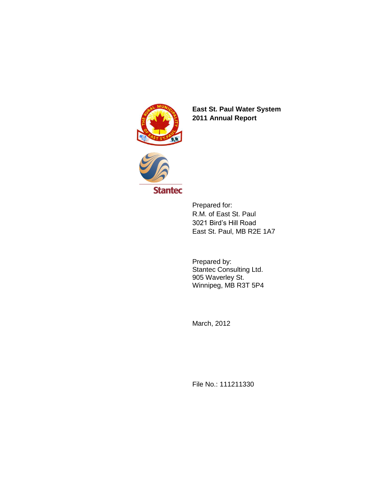

**East St. Paul Water System 2011 Annual Report** 



Prepared for: R.M. of East St. Paul 3021 Bird's Hill Road East St. Paul, MB R2E 1A7

Prepared by: Stantec Consulting Ltd. 905 Waverley St. Winnipeg, MB R3T 5P4

March, 2012

File No.: 111211330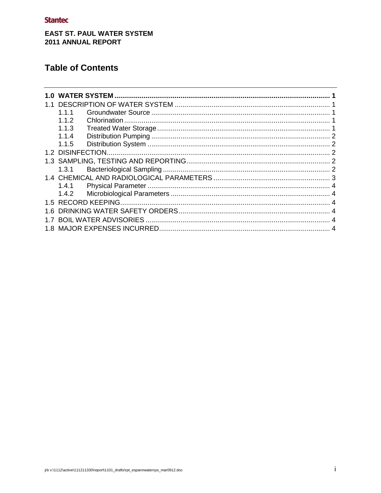## **EAST ST. PAUL WATER SYSTEM** 2011 ANNUAL REPORT

# **Table of Contents**

| 1.በ |       |  |
|-----|-------|--|
|     |       |  |
|     | 1.1.1 |  |
|     | 1.1.2 |  |
|     | 1.1.3 |  |
|     | 1.1.4 |  |
|     | 1.1.5 |  |
|     |       |  |
|     |       |  |
|     | 1.3.1 |  |
|     |       |  |
|     | 1.4.1 |  |
|     | 1.4.2 |  |
|     |       |  |
| 1.6 |       |  |
|     |       |  |
|     |       |  |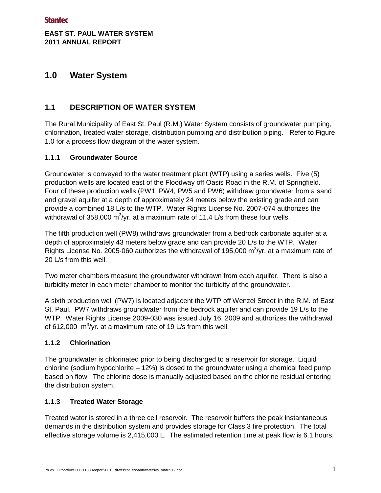## **EAST ST. PAUL WATER SYSTEM 2011 ANNUAL REPORT**

## <span id="page-2-0"></span>**1.0 Water System**

## <span id="page-2-1"></span>**1.1 DESCRIPTION OF WATER SYSTEM**

The Rural Municipality of East St. Paul (R.M.) Water System consists of groundwater pumping, chlorination, treated water storage, distribution pumping and distribution piping. Refer to Figure 1.0 for a process flow diagram of the water system.

#### <span id="page-2-2"></span>**1.1.1 Groundwater Source**

Groundwater is conveyed to the water treatment plant (WTP) using a series wells. Five (5) production wells are located east of the Floodway off Oasis Road in the R.M. of Springfield. Four of these production wells (PW1, PW4, PW5 and PW6) withdraw groundwater from a sand and gravel aquifer at a depth of approximately 24 meters below the existing grade and can provide a combined 18 L/s to the WTP. Water Rights License No. 2007-074 authorizes the withdrawal of 358,000 m<sup>3</sup>/yr. at a maximum rate of 11.4 L/s from these four wells.

The fifth production well (PW8) withdraws groundwater from a bedrock carbonate aquifer at a depth of approximately 43 meters below grade and can provide 20 L/s to the WTP. Water Rights License No. 2005-060 authorizes the withdrawal of 195,000  $\text{m}^3/\text{yr}$ . at a maximum rate of 20 L/s from this well.

Two meter chambers measure the groundwater withdrawn from each aquifer. There is also a turbidity meter in each meter chamber to monitor the turbidity of the groundwater.

A sixth production well (PW7) is located adjacent the WTP off Wenzel Street in the R.M. of East St. Paul. PW7 withdraws groundwater from the bedrock aquifer and can provide 19 L/s to the WTP. Water Rights License 2009-030 was issued July 16, 2009 and authorizes the withdrawal of 612,000  $\mathrm{m}^3$ /yr. at a maximum rate of 19 L/s from this well.

#### <span id="page-2-3"></span>**1.1.2 Chlorination**

The groundwater is chlorinated prior to being discharged to a reservoir for storage. Liquid chlorine (sodium hypochlorite – 12%) is dosed to the groundwater using a chemical feed pump based on flow. The chlorine dose is manually adjusted based on the chlorine residual entering the distribution system.

### <span id="page-2-4"></span>**1.1.3 Treated Water Storage**

Treated water is stored in a three cell reservoir. The reservoir buffers the peak instantaneous demands in the distribution system and provides storage for Class 3 fire protection. The total effective storage volume is 2,415,000 L. The estimated retention time at peak flow is 6.1 hours.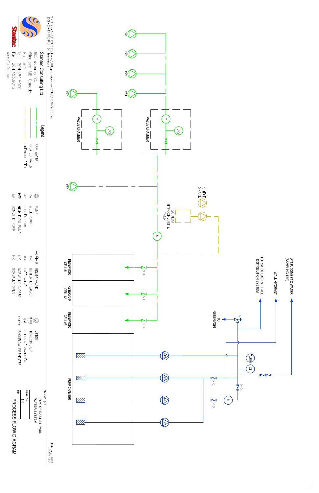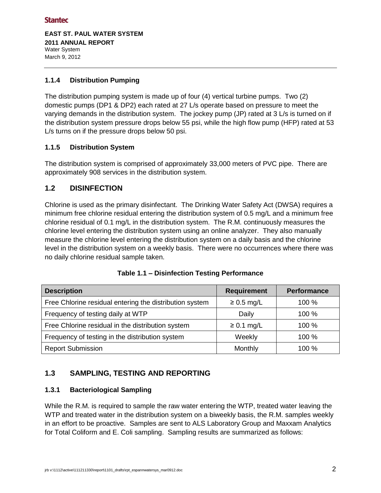**EAST ST. PAUL WATER SYSTEM 2011 ANNUAL REPORT**  Water System March 9, 2012

#### <span id="page-4-0"></span>**1.1.4 Distribution Pumping**

The distribution pumping system is made up of four (4) vertical turbine pumps. Two (2) domestic pumps (DP1 & DP2) each rated at 27 L/s operate based on pressure to meet the varying demands in the distribution system. The jockey pump (JP) rated at 3 L/s is turned on if the distribution system pressure drops below 55 psi, while the high flow pump (HFP) rated at 53 L/s turns on if the pressure drops below 50 psi.

#### <span id="page-4-1"></span>**1.1.5 Distribution System**

The distribution system is comprised of approximately 33,000 meters of PVC pipe. There are approximately 908 services in the distribution system.

### <span id="page-4-2"></span>**1.2 DISINFECTION**

Chlorine is used as the primary disinfectant. The Drinking Water Safety Act (DWSA) requires a minimum free chlorine residual entering the distribution system of 0.5 mg/L and a minimum free chlorine residual of 0.1 mg/L in the distribution system. The R.M. continuously measures the chlorine level entering the distribution system using an online analyzer. They also manually measure the chlorine level entering the distribution system on a daily basis and the chlorine level in the distribution system on a weekly basis. There were no occurrences where there was no daily chlorine residual sample taken.

| <b>Description</b>                                      | <b>Requirement</b> | <b>Performance</b> |
|---------------------------------------------------------|--------------------|--------------------|
| Free Chlorine residual entering the distribution system | $\geq 0.5$ mg/L    | 100 %              |
| Frequency of testing daily at WTP                       | Daily              | 100 %              |
| Free Chlorine residual in the distribution system       | $\geq$ 0.1 mg/L    | 100%               |
| Frequency of testing in the distribution system         | Weekly             | 100 %              |
| <b>Report Submission</b>                                | Monthly            | 100 $%$            |

#### **Table 1.1 – Disinfection Testing Performance**

## <span id="page-4-3"></span>**1.3 SAMPLING, TESTING AND REPORTING**

#### <span id="page-4-4"></span>**1.3.1 Bacteriological Sampling**

While the R.M. is required to sample the raw water entering the WTP, treated water leaving the WTP and treated water in the distribution system on a biweekly basis, the R.M. samples weekly in an effort to be proactive. Samples are sent to ALS Laboratory Group and Maxxam Analytics for Total Coliform and E. Coli sampling. Sampling results are summarized as follows: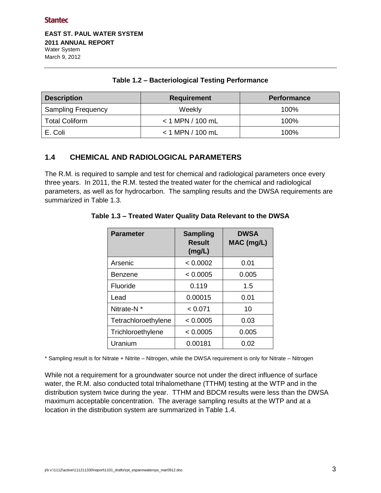**EAST ST. PAUL WATER SYSTEM 2011 ANNUAL REPORT**  Water System March 9, 2012

| <b>Description</b>        | <b>Requirement</b> | <b>Performance</b> |  |
|---------------------------|--------------------|--------------------|--|
| <b>Sampling Frequency</b> | Weekly             | 100%               |  |
| <b>Total Coliform</b>     | $<$ 1 MPN / 100 mL | 100%               |  |
| E. Coli                   | $<$ 1 MPN / 100 mL | 100%               |  |

#### **Table 1.2 – Bacteriological Testing Performance**

## <span id="page-5-0"></span>**1.4 CHEMICAL AND RADIOLOGICAL PARAMETERS**

The R.M. is required to sample and test for chemical and radiological parameters once every three years. In 2011, the R.M. tested the treated water for the chemical and radiological parameters, as well as for hydrocarbon. The sampling results and the DWSA requirements are summarized in Table 1.3.

| <b>Parameter</b>       | <b>Sampling</b><br><b>Result</b><br>(mg/L) | <b>DWSA</b><br>MAC (mg/L) |
|------------------------|--------------------------------------------|---------------------------|
| Arsenic                | < 0.0002                                   | 0.01                      |
| Benzene                | < 0.0005                                   | 0.005                     |
| Fluoride               | 0.119                                      | 1.5                       |
| Lead                   | 0.00015                                    | 0.01                      |
| Nitrate-N <sup>*</sup> | < 0.071                                    | 10                        |
| Tetrachloroethylene    | < 0.0005                                   | 0.03                      |
| Trichloroethylene      | < 0.0005                                   | 0.005                     |
| Uranium                | 0.00181                                    | 0.02                      |

#### **Table 1.3 – Treated Water Quality Data Relevant to the DWSA**

\* Sampling result is for Nitrate + Nitrite – Nitrogen, while the DWSA requirement is only for Nitrate – Nitrogen

While not a requirement for a groundwater source not under the direct influence of surface water, the R.M. also conducted total trihalomethane (TTHM) testing at the WTP and in the distribution system twice during the year. TTHM and BDCM results were less than the DWSA maximum acceptable concentration. The average sampling results at the WTP and at a location in the distribution system are summarized in Table 1.4.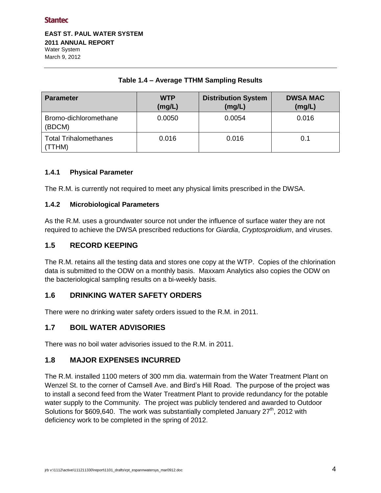**EAST ST. PAUL WATER SYSTEM 2011 ANNUAL REPORT**  Water System March 9, 2012

| <b>Parameter</b>                       | <b>WTP</b><br>(mg/L) | <b>Distribution System</b><br>(mg/L) | <b>DWSA MAC</b><br>(mg/L) |
|----------------------------------------|----------------------|--------------------------------------|---------------------------|
| Bromo-dichloromethane<br>(BDCM)        | 0.0050               | 0.0054                               | 0.016                     |
| <b>Total Trihalomethanes</b><br>(TTHM) | 0.016                | 0.016                                | 0.1                       |

#### **Table 1.4 – Average TTHM Sampling Results**

#### <span id="page-6-0"></span>**1.4.1 Physical Parameter**

The R.M. is currently not required to meet any physical limits prescribed in the DWSA.

#### <span id="page-6-1"></span>**1.4.2 Microbiological Parameters**

As the R.M. uses a groundwater source not under the influence of surface water they are not required to achieve the DWSA prescribed reductions for *Giardia*, *Cryptosproidium*, and viruses.

#### <span id="page-6-2"></span>**1.5 RECORD KEEPING**

The R.M. retains all the testing data and stores one copy at the WTP. Copies of the chlorination data is submitted to the ODW on a monthly basis. Maxxam Analytics also copies the ODW on the bacteriological sampling results on a bi-weekly basis.

#### <span id="page-6-3"></span>**1.6 DRINKING WATER SAFETY ORDERS**

There were no drinking water safety orders issued to the R.M. in 2011.

#### <span id="page-6-4"></span>**1.7 BOIL WATER ADVISORIES**

There was no boil water advisories issued to the R.M. in 2011.

#### <span id="page-6-5"></span>**1.8 MAJOR EXPENSES INCURRED**

The R.M. installed 1100 meters of 300 mm dia. watermain from the Water Treatment Plant on Wenzel St. to the corner of Camsell Ave. and Bird's Hill Road. The purpose of the project was to install a second feed from the Water Treatment Plant to provide redundancy for the potable water supply to the Community. The project was publicly tendered and awarded to Outdoor Solutions for \$609,640. The work was substantially completed January  $27<sup>th</sup>$ , 2012 with deficiency work to be completed in the spring of 2012.